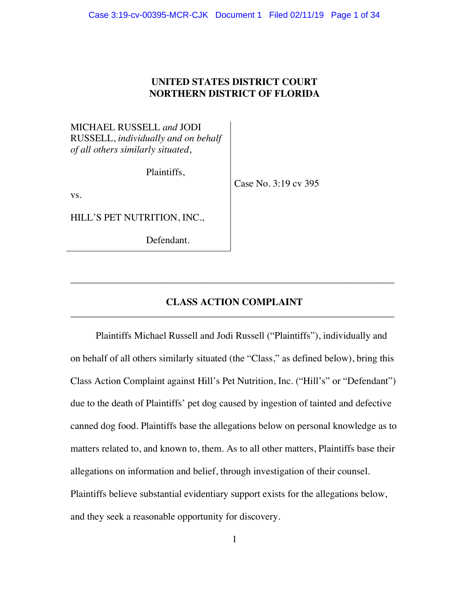# **UNITED STATES DISTRICT COURT NORTHERN DISTRICT OF FLORIDA**

MICHAEL RUSSELL *and* JODI RUSSELL, *individually and on behalf of all others similarly situated*,

Plaintiffs,

Case No. 3:19 cv 395

vs.

HILL'S PET NUTRITION, INC.,

Defendant.

# **CLASS ACTION COMPLAINT** \_\_\_\_\_\_\_\_\_\_\_\_\_\_\_\_\_\_\_\_\_\_\_\_\_\_\_\_\_\_\_\_\_\_\_\_\_\_\_\_\_\_\_\_\_\_\_\_\_\_\_\_\_\_\_\_\_\_\_\_\_\_\_\_\_\_

\_\_\_\_\_\_\_\_\_\_\_\_\_\_\_\_\_\_\_\_\_\_\_\_\_\_\_\_\_\_\_\_\_\_\_\_\_\_\_\_\_\_\_\_\_\_\_\_\_\_\_\_\_\_\_\_\_\_\_\_\_\_\_\_\_\_

Plaintiffs Michael Russell and Jodi Russell ("Plaintiffs"), individually and on behalf of all others similarly situated (the "Class," as defined below), bring this Class Action Complaint against Hill's Pet Nutrition, Inc. ("Hill's" or "Defendant") due to the death of Plaintiffs' pet dog caused by ingestion of tainted and defective canned dog food. Plaintiffs base the allegations below on personal knowledge as to matters related to, and known to, them. As to all other matters, Plaintiffs base their allegations on information and belief, through investigation of their counsel. Plaintiffs believe substantial evidentiary support exists for the allegations below, and they seek a reasonable opportunity for discovery.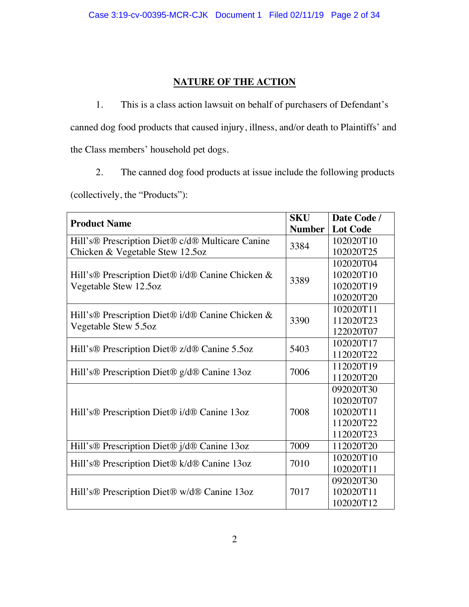# **NATURE OF THE ACTION**

1. This is a class action lawsuit on behalf of purchasers of Defendant's canned dog food products that caused injury, illness, and/or death to Plaintiffs' and the Class members' household pet dogs.

2. The canned dog food products at issue include the following products

(collectively, the "Products"):

| <b>Product Name</b>                                                                                          | <b>SKU</b>    | Date Code /     |
|--------------------------------------------------------------------------------------------------------------|---------------|-----------------|
|                                                                                                              | <b>Number</b> | <b>Lot Code</b> |
| Hill's <sup>®</sup> Prescription Diet <sup>®</sup> c/d <sup>®</sup> Multicare Canine                         | 3384          | 102020T10       |
| Chicken & Vegetable Stew 12.5oz                                                                              |               | 102020T25       |
| Hill's <sup>®</sup> Prescription Diet <sup>®</sup> i/d® Canine Chicken &<br>3389<br>Vegetable Stew 12.5oz    |               | 102020T04       |
|                                                                                                              |               | 102020T10       |
|                                                                                                              |               | 102020T19       |
|                                                                                                              |               | 102020T20       |
| Hill's <sup>®</sup> Prescription Diet <sup>®</sup> i/d <sup>®</sup> Canine Chicken &<br>Vegetable Stew 5.5oz | 3390          | 102020T11       |
|                                                                                                              |               | 112020T23       |
|                                                                                                              |               | 122020T07       |
| Hill's <sup>®</sup> Prescription Diet <sup>®</sup> z/d® Canine 5.5oz                                         | 5403          | 102020T17       |
|                                                                                                              |               | 112020T22       |
| Hill's <sup>®</sup> Prescription Diet <sup>®</sup> g/d® Canine 13oz                                          | 7006          | 112020T19       |
|                                                                                                              |               | 112020T20       |
| Hill's <sup>®</sup> Prescription Diet <sup>®</sup> i/d <sup>®</sup> Canine 13oz                              | 7008          | 092020T30       |
|                                                                                                              |               | 102020T07       |
|                                                                                                              |               | 102020T11       |
|                                                                                                              |               | 112020T22       |
|                                                                                                              |               | 112020T23       |
| Hill's <sup>®</sup> Prescription Diet <sup>®</sup> j/d <sup>®</sup> Canine 13oz                              | 7009          | 112020T20       |
| Hill's <sup>®</sup> Prescription Diet <sup>®</sup> k/d® Canine 13oz                                          | 7010          | 102020T10       |
|                                                                                                              |               | 102020T11       |
| Hill's <sup>®</sup> Prescription Diet <sup>®</sup> w/d <sup>®</sup> Canine 13oz                              | 7017          | 092020T30       |
|                                                                                                              |               | 102020T11       |
|                                                                                                              |               | 102020T12       |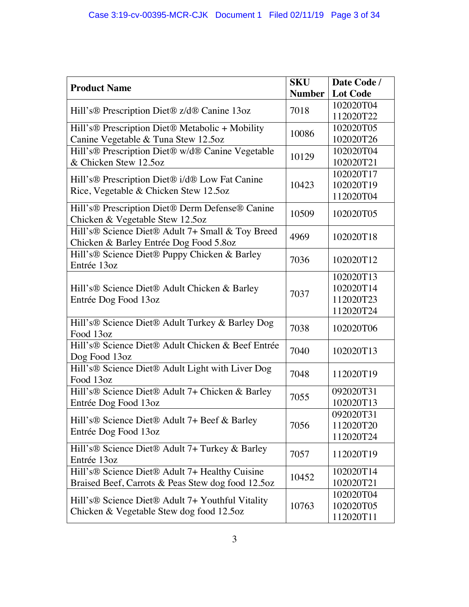| <b>Product Name</b>                                                                                                    | <b>SKU</b>    | Date Code /     |
|------------------------------------------------------------------------------------------------------------------------|---------------|-----------------|
|                                                                                                                        | <b>Number</b> | <b>Lot Code</b> |
| Hill's <sup>®</sup> Prescription Diet <sup>®</sup> z/d® Canine 13oz                                                    | 7018          | 102020T04       |
|                                                                                                                        |               | 112020T22       |
| Hill's <sup>®</sup> Prescription Diet® Metabolic + Mobility                                                            | 10086         | 102020T05       |
| Canine Vegetable & Tuna Stew 12.5oz                                                                                    |               | 102020T26       |
| Hill's® Prescription Diet® w/d® Canine Vegetable                                                                       | 10129         | 102020T04       |
| & Chicken Stew 12.5oz                                                                                                  |               | 102020T21       |
| Hill's <sup>®</sup> Prescription Diet <sup>®</sup> i/d® Low Fat Canine                                                 | 10423         | 102020T17       |
| Rice, Vegetable & Chicken Stew 12.5oz                                                                                  |               | 102020T19       |
|                                                                                                                        |               | 112020T04       |
| Hill's <sup>®</sup> Prescription Diet <sup>®</sup> Derm Defense <sup>®</sup> Canine<br>Chicken & Vegetable Stew 12.5oz | 10509         | 102020T05       |
| Hill's® Science Diet® Adult 7+ Small & Toy Breed                                                                       |               |                 |
| Chicken & Barley Entrée Dog Food 5.8oz                                                                                 | 4969          | 102020T18       |
| Hill's® Science Diet® Puppy Chicken & Barley                                                                           | 7036          | 102020T12       |
| Entrée 13oz                                                                                                            |               |                 |
|                                                                                                                        |               | 102020T13       |
| Hill's® Science Diet® Adult Chicken & Barley                                                                           | 7037          | 102020T14       |
| Entrée Dog Food 13oz                                                                                                   |               | 112020T23       |
|                                                                                                                        |               | 112020T24       |
| Hill's® Science Diet® Adult Turkey & Barley Dog                                                                        | 7038          | 102020T06       |
| Food 13oz                                                                                                              |               |                 |
| Hill's® Science Diet® Adult Chicken & Beef Entrée                                                                      | 7040          | 102020T13       |
| Dog Food 13oz                                                                                                          |               |                 |
| Hill's® Science Diet® Adult Light with Liver Dog                                                                       | 7048          | 112020T19       |
| Food 13oz                                                                                                              |               |                 |
| Hill's <sup>®</sup> Science Diet® Adult 7+ Chicken & Barley                                                            | 7055          | 092020T31       |
| Entrée Dog Food 13oz                                                                                                   |               | 102020T13       |
| Hill's® Science Diet® Adult 7+ Beef & Barley<br>7056<br>Entrée Dog Food 13oz                                           | 092020T31     |                 |
|                                                                                                                        |               | 112020T20       |
|                                                                                                                        |               | 112020T24       |
| Hill's <sup>®</sup> Science Diet <sup>®</sup> Adult 7+ Turkey & Barley<br>Entrée 13oz                                  | 7057          | 112020T19       |
| Hill's <sup>®</sup> Science Diet <sup>®</sup> Adult 7+ Healthy Cuisine                                                 |               | 102020T14       |
| Braised Beef, Carrots & Peas Stew dog food 12.5oz                                                                      | 10452         | 102020T21       |
| Hill's <sup>®</sup> Science Diet <sup>®</sup> Adult 7+ Youthful Vitality<br>Chicken & Vegetable Stew dog food 12.5oz   | 10763         | 102020T04       |
|                                                                                                                        |               | 102020T05       |
|                                                                                                                        |               | 112020T11       |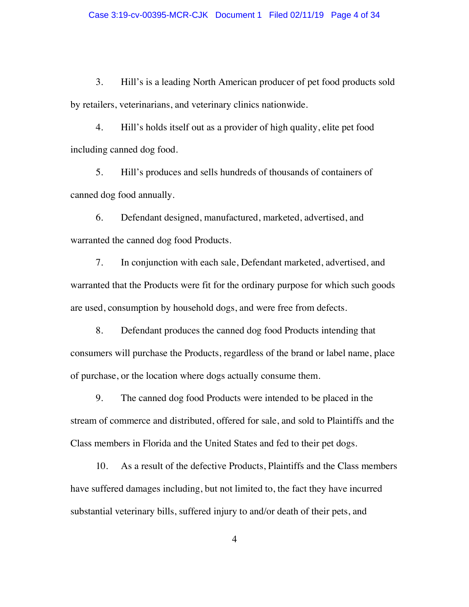3. Hill's is a leading North American producer of pet food products sold by retailers, veterinarians, and veterinary clinics nationwide.

4. Hill's holds itself out as a provider of high quality, elite pet food including canned dog food.

5. Hill's produces and sells hundreds of thousands of containers of canned dog food annually.

6. Defendant designed, manufactured, marketed, advertised, and warranted the canned dog food Products.

7. In conjunction with each sale, Defendant marketed, advertised, and warranted that the Products were fit for the ordinary purpose for which such goods are used, consumption by household dogs, and were free from defects.

8. Defendant produces the canned dog food Products intending that consumers will purchase the Products, regardless of the brand or label name, place of purchase, or the location where dogs actually consume them.

9. The canned dog food Products were intended to be placed in the stream of commerce and distributed, offered for sale, and sold to Plaintiffs and the Class members in Florida and the United States and fed to their pet dogs.

10. As a result of the defective Products, Plaintiffs and the Class members have suffered damages including, but not limited to, the fact they have incurred substantial veterinary bills, suffered injury to and/or death of their pets, and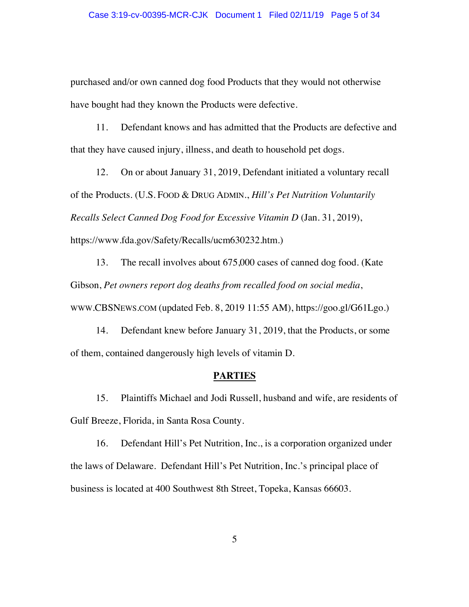purchased and/or own canned dog food Products that they would not otherwise have bought had they known the Products were defective.

11. Defendant knows and has admitted that the Products are defective and that they have caused injury, illness, and death to household pet dogs.

12. On or about January 31, 2019, Defendant initiated a voluntary recall of the Products. (U.S. FOOD & DRUG ADMIN., *Hill's Pet Nutrition Voluntarily Recalls Select Canned Dog Food for Excessive Vitamin D* (Jan. 31, 2019), https://www.fda.gov/Safety/Recalls/ucm630232.htm.)

13. The recall involves about 675,000 cases of canned dog food. (Kate Gibson, *Pet owners report dog deaths from recalled food on social media*, WWW.CBSNEWS.COM (updated Feb. 8, 2019 11:55 AM), https://goo.gl/G61Lgo.)

14. Defendant knew before January 31, 2019, that the Products, or some of them, contained dangerously high levels of vitamin D.

#### **PARTIES**

15. Plaintiffs Michael and Jodi Russell, husband and wife, are residents of Gulf Breeze, Florida, in Santa Rosa County.

16. Defendant Hill's Pet Nutrition, Inc., is a corporation organized under the laws of Delaware. Defendant Hill's Pet Nutrition, Inc.'s principal place of business is located at 400 Southwest 8th Street, Topeka, Kansas 66603.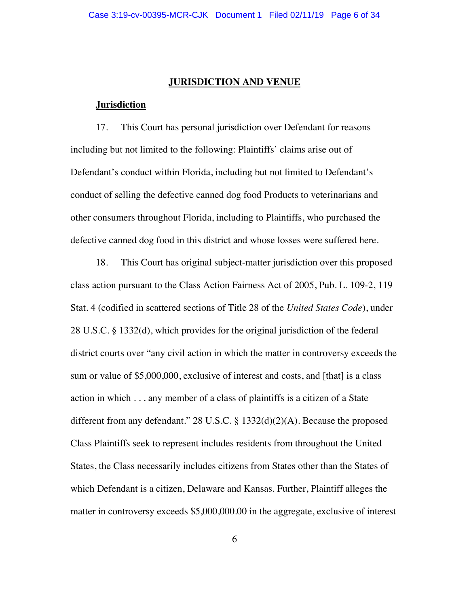#### **JURISDICTION AND VENUE**

#### **Jurisdiction**

17. This Court has personal jurisdiction over Defendant for reasons including but not limited to the following: Plaintiffs' claims arise out of Defendant's conduct within Florida, including but not limited to Defendant's conduct of selling the defective canned dog food Products to veterinarians and other consumers throughout Florida, including to Plaintiffs, who purchased the defective canned dog food in this district and whose losses were suffered here.

18. This Court has original subject-matter jurisdiction over this proposed class action pursuant to the Class Action Fairness Act of 2005, Pub. L. 109-2, 119 Stat. 4 (codified in scattered sections of Title 28 of the *United States Code*), under 28 U.S.C. § 1332(d), which provides for the original jurisdiction of the federal district courts over "any civil action in which the matter in controversy exceeds the sum or value of \$5,000,000, exclusive of interest and costs, and [that] is a class action in which . . . any member of a class of plaintiffs is a citizen of a State different from any defendant." 28 U.S.C. § 1332(d)(2)(A). Because the proposed Class Plaintiffs seek to represent includes residents from throughout the United States, the Class necessarily includes citizens from States other than the States of which Defendant is a citizen, Delaware and Kansas. Further, Plaintiff alleges the matter in controversy exceeds \$5,000,000.00 in the aggregate, exclusive of interest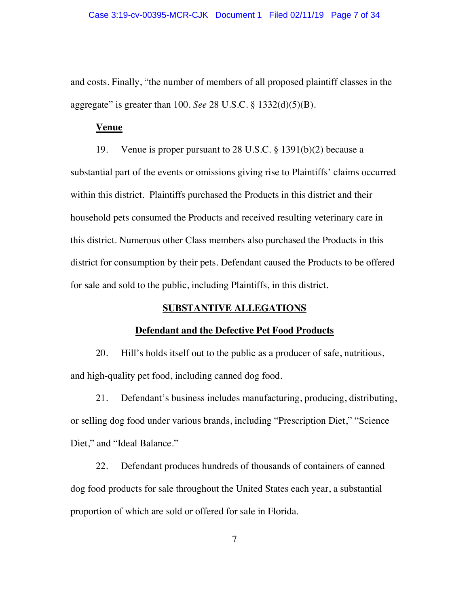and costs. Finally, "the number of members of all proposed plaintiff classes in the aggregate" is greater than 100. *See* 28 U.S.C. § 1332(d)(5)(B).

#### **Venue**

19. Venue is proper pursuant to 28 U.S.C. § 1391(b)(2) because a substantial part of the events or omissions giving rise to Plaintiffs' claims occurred within this district. Plaintiffs purchased the Products in this district and their household pets consumed the Products and received resulting veterinary care in this district. Numerous other Class members also purchased the Products in this district for consumption by their pets. Defendant caused the Products to be offered for sale and sold to the public, including Plaintiffs, in this district.

## **SUBSTANTIVE ALLEGATIONS**

### **Defendant and the Defective Pet Food Products**

20. Hill's holds itself out to the public as a producer of safe, nutritious, and high-quality pet food, including canned dog food.

21. Defendant's business includes manufacturing, producing, distributing, or selling dog food under various brands, including "Prescription Diet," "Science Diet," and "Ideal Balance."

22. Defendant produces hundreds of thousands of containers of canned dog food products for sale throughout the United States each year, a substantial proportion of which are sold or offered for sale in Florida.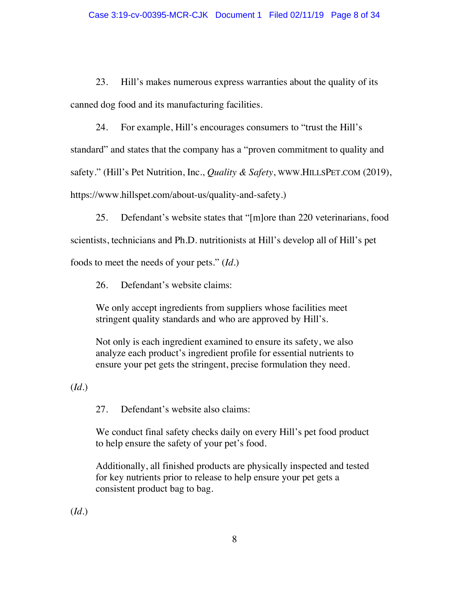23. Hill's makes numerous express warranties about the quality of its canned dog food and its manufacturing facilities.

24. For example, Hill's encourages consumers to "trust the Hill's standard" and states that the company has a "proven commitment to quality and safety." (Hill's Pet Nutrition, Inc., *Quality & Safety*, WWW.HILLSPET.COM (2019), https://www.hillspet.com/about-us/quality-and-safety.)

25. Defendant's website states that "[m]ore than 220 veterinarians, food

scientists, technicians and Ph.D. nutritionists at Hill's develop all of Hill's pet

foods to meet the needs of your pets." (*Id*.)

26. Defendant's website claims:

We only accept ingredients from suppliers whose facilities meet stringent quality standards and who are approved by Hill's.

Not only is each ingredient examined to ensure its safety, we also analyze each product's ingredient profile for essential nutrients to ensure your pet gets the stringent, precise formulation they need.

(*Id.*)

27. Defendant's website also claims:

We conduct final safety checks daily on every Hill's pet food product to help ensure the safety of your pet's food.

Additionally, all finished products are physically inspected and tested for key nutrients prior to release to help ensure your pet gets a consistent product bag to bag.

(*Id.*)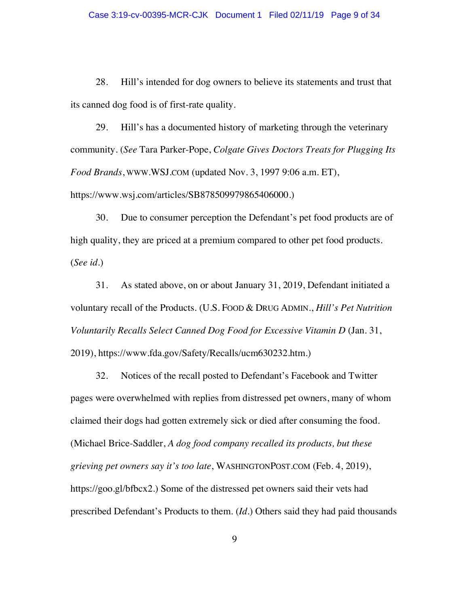28. Hill's intended for dog owners to believe its statements and trust that its canned dog food is of first-rate quality.

29. Hill's has a documented history of marketing through the veterinary community. (*See* Tara Parker-Pope, *Colgate Gives Doctors Treats for Plugging Its Food Brands*, WWW.WSJ.COM (updated Nov. 3, 1997 9:06 a.m. ET), https://www.wsj.com/articles/SB878509979865406000.)

30. Due to consumer perception the Defendant's pet food products are of high quality, they are priced at a premium compared to other pet food products. (*See id.*)

31. As stated above, on or about January 31, 2019, Defendant initiated a voluntary recall of the Products. (U.S. FOOD & DRUG ADMIN., *Hill's Pet Nutrition Voluntarily Recalls Select Canned Dog Food for Excessive Vitamin D* (Jan. 31, 2019), https://www.fda.gov/Safety/Recalls/ucm630232.htm.)

32. Notices of the recall posted to Defendant's Facebook and Twitter pages were overwhelmed with replies from distressed pet owners, many of whom claimed their dogs had gotten extremely sick or died after consuming the food. (Michael Brice-Saddler, *A dog food company recalled its products, but these grieving pet owners say it's too late*, WASHINGTONPOST.COM (Feb. 4, 2019), https://goo.gl/bfbcx2.) Some of the distressed pet owners said their vets had prescribed Defendant's Products to them. (*Id.*) Others said they had paid thousands

9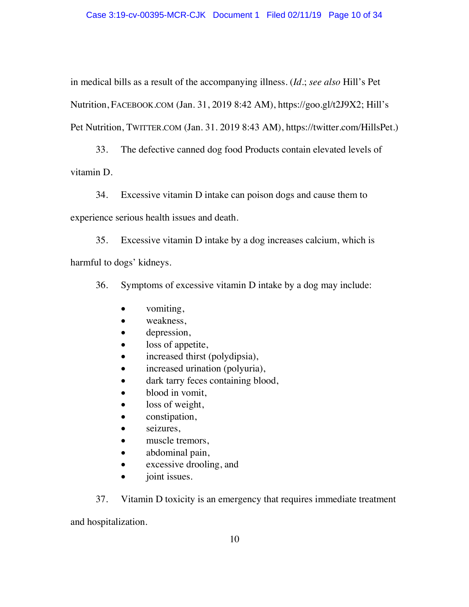in medical bills as a result of the accompanying illness. (*Id.*; *see also* Hill's Pet Nutrition, FACEBOOK.COM (Jan. 31, 2019 8:42 AM), https://goo.gl/t2J9X2; Hill's Pet Nutrition, TWITTER.COM (Jan. 31. 2019 8:43 AM), https://twitter.com/HillsPet.)

33. The defective canned dog food Products contain elevated levels of vitamin D.

34. Excessive vitamin D intake can poison dogs and cause them to

experience serious health issues and death.

35. Excessive vitamin D intake by a dog increases calcium, which is harmful to dogs' kidneys.

36. Symptoms of excessive vitamin D intake by a dog may include:

- $\bullet$  vomiting,
- $\bullet$  weakness,
- $\bullet$  depression,
- $\bullet$  loss of appetite,
- $\bullet$  increased thirst (polydipsia),
- increased urination (polyuria),
- dark tarry feces containing blood,
- $\bullet$  blood in vomit,
- loss of weight,
- $\bullet$  constipation,
- $\bullet$  seizures,
- $\bullet$  muscle tremors,
- abdominal pain,
- excessive drooling, and
- $\bullet$  joint issues.

37. Vitamin D toxicity is an emergency that requires immediate treatment

and hospitalization.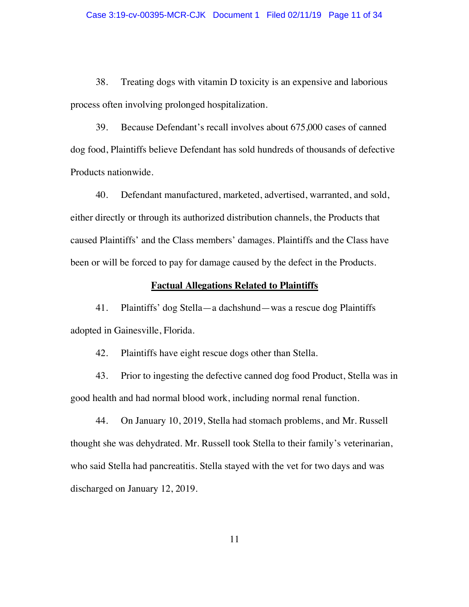38. Treating dogs with vitamin D toxicity is an expensive and laborious process often involving prolonged hospitalization.

39. Because Defendant's recall involves about 675,000 cases of canned dog food, Plaintiffs believe Defendant has sold hundreds of thousands of defective Products nationwide.

40. Defendant manufactured, marketed, advertised, warranted, and sold, either directly or through its authorized distribution channels, the Products that caused Plaintiffs' and the Class members' damages. Plaintiffs and the Class have been or will be forced to pay for damage caused by the defect in the Products.

#### **Factual Allegations Related to Plaintiffs**

41. Plaintiffs' dog Stella—a dachshund—was a rescue dog Plaintiffs adopted in Gainesville, Florida.

42. Plaintiffs have eight rescue dogs other than Stella.

43. Prior to ingesting the defective canned dog food Product, Stella was in good health and had normal blood work, including normal renal function.

44. On January 10, 2019, Stella had stomach problems, and Mr. Russell thought she was dehydrated. Mr. Russell took Stella to their family's veterinarian, who said Stella had pancreatitis. Stella stayed with the vet for two days and was discharged on January 12, 2019.

11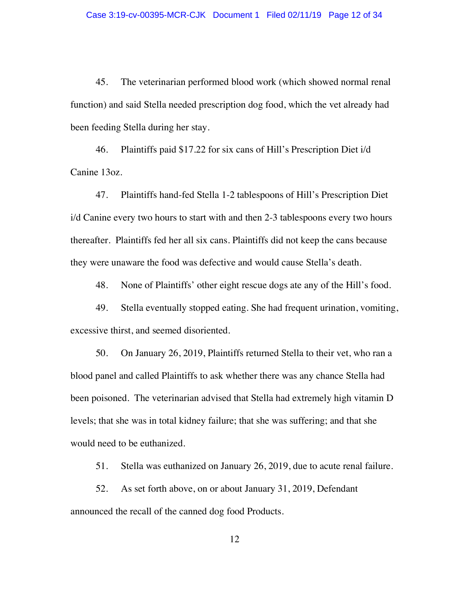45. The veterinarian performed blood work (which showed normal renal function) and said Stella needed prescription dog food, which the vet already had been feeding Stella during her stay.

46. Plaintiffs paid \$17.22 for six cans of Hill's Prescription Diet i/d Canine 13oz.

47. Plaintiffs hand-fed Stella 1-2 tablespoons of Hill's Prescription Diet i/d Canine every two hours to start with and then 2-3 tablespoons every two hours thereafter. Plaintiffs fed her all six cans. Plaintiffs did not keep the cans because they were unaware the food was defective and would cause Stella's death.

48. None of Plaintiffs' other eight rescue dogs ate any of the Hill's food.

49. Stella eventually stopped eating. She had frequent urination, vomiting, excessive thirst, and seemed disoriented.

50. On January 26, 2019, Plaintiffs returned Stella to their vet, who ran a blood panel and called Plaintiffs to ask whether there was any chance Stella had been poisoned. The veterinarian advised that Stella had extremely high vitamin D levels; that she was in total kidney failure; that she was suffering; and that she would need to be euthanized.

51. Stella was euthanized on January 26, 2019, due to acute renal failure.

52. As set forth above, on or about January 31, 2019, Defendant announced the recall of the canned dog food Products.

12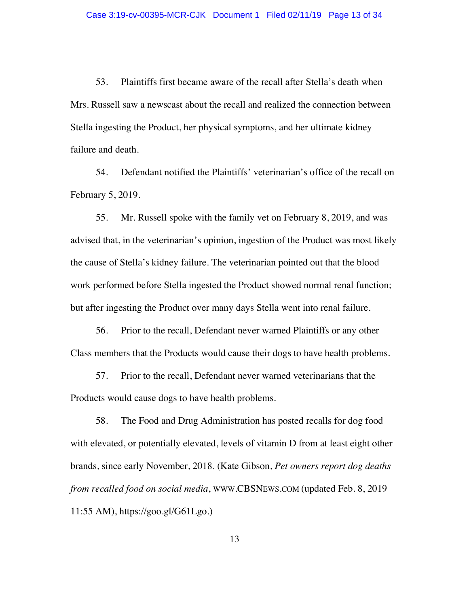53. Plaintiffs first became aware of the recall after Stella's death when Mrs. Russell saw a newscast about the recall and realized the connection between Stella ingesting the Product, her physical symptoms, and her ultimate kidney failure and death.

54. Defendant notified the Plaintiffs' veterinarian's office of the recall on February 5, 2019.

55. Mr. Russell spoke with the family vet on February 8, 2019, and was advised that, in the veterinarian's opinion, ingestion of the Product was most likely the cause of Stella's kidney failure. The veterinarian pointed out that the blood work performed before Stella ingested the Product showed normal renal function; but after ingesting the Product over many days Stella went into renal failure.

56. Prior to the recall, Defendant never warned Plaintiffs or any other Class members that the Products would cause their dogs to have health problems.

57. Prior to the recall, Defendant never warned veterinarians that the Products would cause dogs to have health problems.

58. The Food and Drug Administration has posted recalls for dog food with elevated, or potentially elevated, levels of vitamin D from at least eight other brands, since early November, 2018. (Kate Gibson, *Pet owners report dog deaths from recalled food on social media*, WWW.CBSNEWS.COM (updated Feb. 8, 2019 11:55 AM), https://goo.gl/G61Lgo.)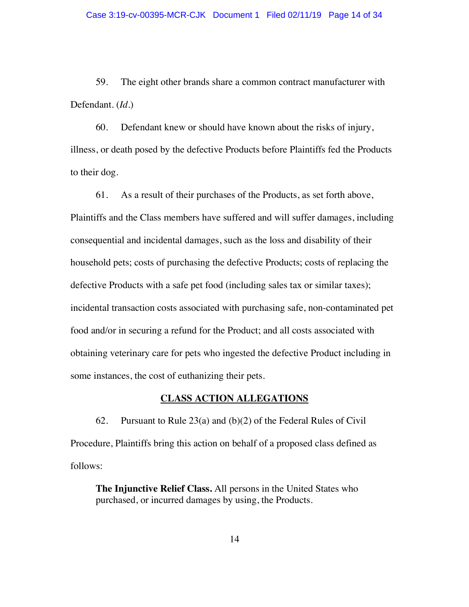59. The eight other brands share a common contract manufacturer with Defendant. (*Id.*)

60. Defendant knew or should have known about the risks of injury, illness, or death posed by the defective Products before Plaintiffs fed the Products to their dog.

61. As a result of their purchases of the Products, as set forth above, Plaintiffs and the Class members have suffered and will suffer damages, including consequential and incidental damages, such as the loss and disability of their household pets; costs of purchasing the defective Products; costs of replacing the defective Products with a safe pet food (including sales tax or similar taxes); incidental transaction costs associated with purchasing safe, non-contaminated pet food and/or in securing a refund for the Product; and all costs associated with obtaining veterinary care for pets who ingested the defective Product including in some instances, the cost of euthanizing their pets.

### **CLASS ACTION ALLEGATIONS**

62. Pursuant to Rule 23(a) and (b)(2) of the Federal Rules of Civil Procedure, Plaintiffs bring this action on behalf of a proposed class defined as follows:

**The Injunctive Relief Class.** All persons in the United States who purchased, or incurred damages by using, the Products.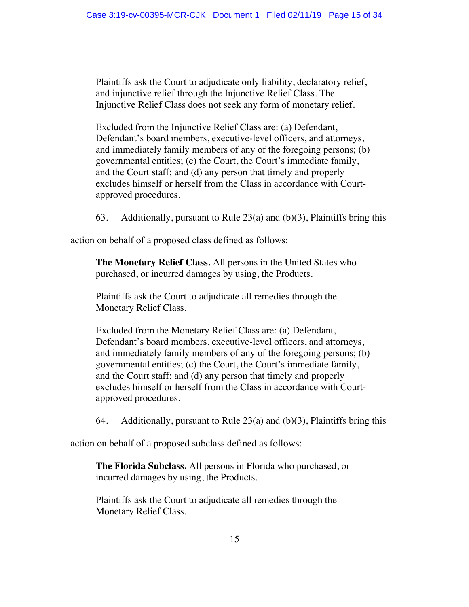Plaintiffs ask the Court to adjudicate only liability, declaratory relief, and injunctive relief through the Injunctive Relief Class. The Injunctive Relief Class does not seek any form of monetary relief.

Excluded from the Injunctive Relief Class are: (a) Defendant, Defendant's board members, executive-level officers, and attorneys, and immediately family members of any of the foregoing persons; (b) governmental entities; (c) the Court, the Court's immediate family, and the Court staff; and (d) any person that timely and properly excludes himself or herself from the Class in accordance with Courtapproved procedures.

63. Additionally, pursuant to Rule  $23(a)$  and  $(b)(3)$ , Plaintiffs bring this

action on behalf of a proposed class defined as follows:

**The Monetary Relief Class.** All persons in the United States who purchased, or incurred damages by using, the Products.

Plaintiffs ask the Court to adjudicate all remedies through the Monetary Relief Class.

Excluded from the Monetary Relief Class are: (a) Defendant, Defendant's board members, executive-level officers, and attorneys, and immediately family members of any of the foregoing persons; (b) governmental entities; (c) the Court, the Court's immediate family, and the Court staff; and (d) any person that timely and properly excludes himself or herself from the Class in accordance with Courtapproved procedures.

64. Additionally, pursuant to Rule  $23(a)$  and  $(b)(3)$ , Plaintiffs bring this

action on behalf of a proposed subclass defined as follows:

**The Florida Subclass.** All persons in Florida who purchased, or incurred damages by using, the Products.

Plaintiffs ask the Court to adjudicate all remedies through the Monetary Relief Class.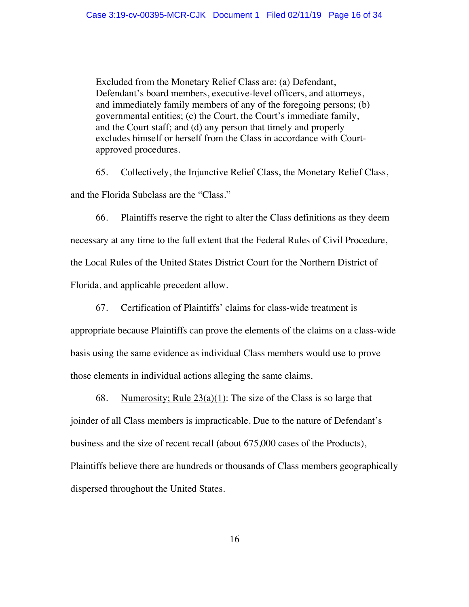Excluded from the Monetary Relief Class are: (a) Defendant, Defendant's board members, executive-level officers, and attorneys, and immediately family members of any of the foregoing persons; (b) governmental entities; (c) the Court, the Court's immediate family, and the Court staff; and (d) any person that timely and properly excludes himself or herself from the Class in accordance with Courtapproved procedures.

65. Collectively, the Injunctive Relief Class, the Monetary Relief Class, and the Florida Subclass are the "Class."

66. Plaintiffs reserve the right to alter the Class definitions as they deem necessary at any time to the full extent that the Federal Rules of Civil Procedure, the Local Rules of the United States District Court for the Northern District of Florida, and applicable precedent allow.

67. Certification of Plaintiffs' claims for class-wide treatment is

appropriate because Plaintiffs can prove the elements of the claims on a class-wide basis using the same evidence as individual Class members would use to prove those elements in individual actions alleging the same claims.

68. Numerosity; Rule  $23(a)(1)$ : The size of the Class is so large that joinder of all Class members is impracticable. Due to the nature of Defendant's business and the size of recent recall (about 675,000 cases of the Products), Plaintiffs believe there are hundreds or thousands of Class members geographically dispersed throughout the United States.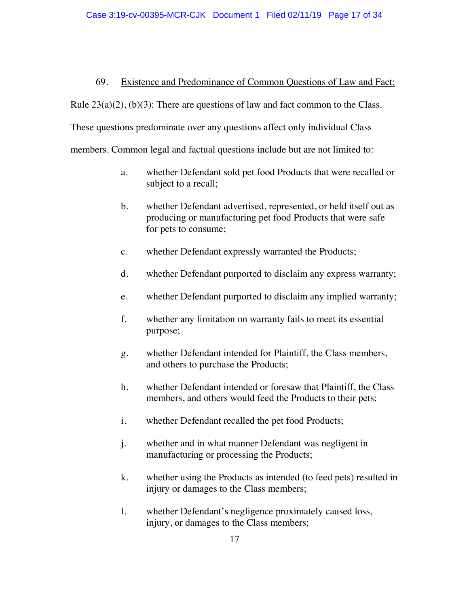# 69. Existence and Predominance of Common Questions of Law and Fact;

Rule  $23(a)(2)$ ,  $(b)(3)$ : There are questions of law and fact common to the Class.

These questions predominate over any questions affect only individual Class

members. Common legal and factual questions include but are not limited to:

- a. whether Defendant sold pet food Products that were recalled or subject to a recall;
- b. whether Defendant advertised, represented, or held itself out as producing or manufacturing pet food Products that were safe for pets to consume;
- c. whether Defendant expressly warranted the Products;
- d. whether Defendant purported to disclaim any express warranty;
- e. whether Defendant purported to disclaim any implied warranty;
- f. whether any limitation on warranty fails to meet its essential purpose;
- g. whether Defendant intended for Plaintiff, the Class members, and others to purchase the Products;
- h. whether Defendant intended or foresaw that Plaintiff, the Class members, and others would feed the Products to their pets;
- i. whether Defendant recalled the pet food Products;
- j. whether and in what manner Defendant was negligent in manufacturing or processing the Products;
- k. whether using the Products as intended (to feed pets) resulted in injury or damages to the Class members;
- l. whether Defendant's negligence proximately caused loss, injury, or damages to the Class members;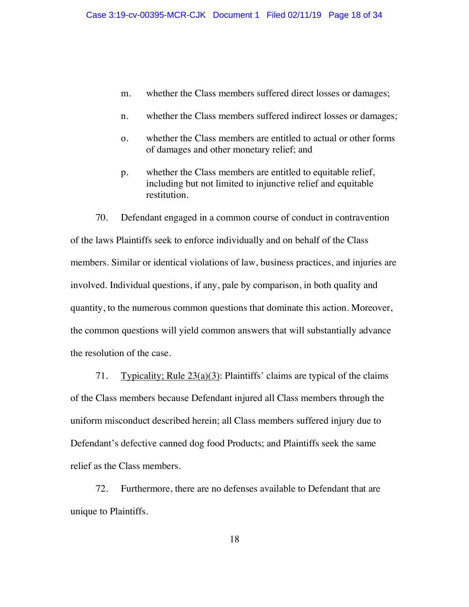- m. whether the Class members suffered direct losses or damages;
- n. whether the Class members suffered indirect losses or damages;
- o. whether the Class members are entitled to actual or other forms of damages and other monetary relief; and
- p. whether the Class members are entitled to equitable relief, including but not limited to injunctive relief and equitable restitution.

70. Defendant engaged in a common course of conduct in contravention of the laws Plaintiffs seek to enforce individually and on behalf of the Class members. Similar or identical violations of law, business practices, and injuries are involved. Individual questions, if any, pale by comparison, in both quality and quantity, to the numerous common questions that dominate this action. Moreover, the common questions will yield common answers that will substantially advance the resolution of the case.

71. Typicality; Rule  $23(a)(3)$ : Plaintiffs' claims are typical of the claims of the Class members because Defendant injured all Class members through the uniform misconduct described herein; all Class members suffered injury due to Defendant's defective canned dog food Products; and Plaintiffs seek the same relief as the Class members.

72. Furthermore, there are no defenses available to Defendant that are unique to Plaintiffs.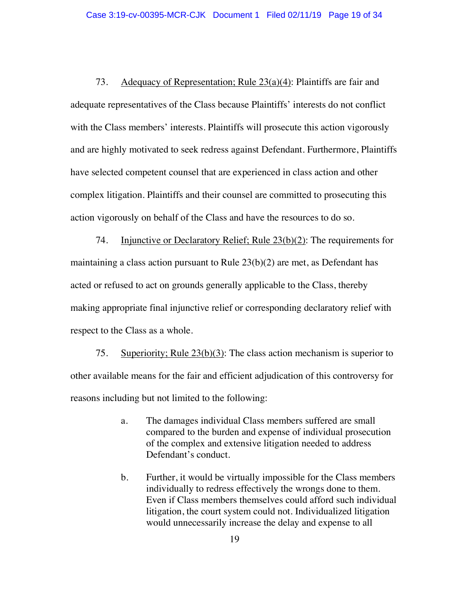73. Adequacy of Representation; Rule 23(a)(4): Plaintiffs are fair and adequate representatives of the Class because Plaintiffs' interests do not conflict with the Class members' interests. Plaintiffs will prosecute this action vigorously and are highly motivated to seek redress against Defendant. Furthermore, Plaintiffs have selected competent counsel that are experienced in class action and other complex litigation. Plaintiffs and their counsel are committed to prosecuting this action vigorously on behalf of the Class and have the resources to do so.

74. Injunctive or Declaratory Relief; Rule 23(b)(2): The requirements for maintaining a class action pursuant to Rule  $23(b)(2)$  are met, as Defendant has acted or refused to act on grounds generally applicable to the Class, thereby making appropriate final injunctive relief or corresponding declaratory relief with respect to the Class as a whole.

75. Superiority; Rule 23(b)(3): The class action mechanism is superior to other available means for the fair and efficient adjudication of this controversy for reasons including but not limited to the following:

- a. The damages individual Class members suffered are small compared to the burden and expense of individual prosecution of the complex and extensive litigation needed to address Defendant's conduct.
- b. Further, it would be virtually impossible for the Class members individually to redress effectively the wrongs done to them. Even if Class members themselves could afford such individual litigation, the court system could not. Individualized litigation would unnecessarily increase the delay and expense to all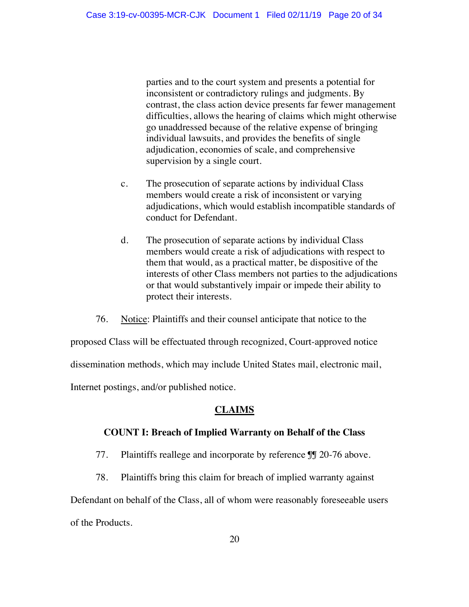parties and to the court system and presents a potential for inconsistent or contradictory rulings and judgments. By contrast, the class action device presents far fewer management difficulties, allows the hearing of claims which might otherwise go unaddressed because of the relative expense of bringing individual lawsuits, and provides the benefits of single adjudication, economies of scale, and comprehensive supervision by a single court.

- c. The prosecution of separate actions by individual Class members would create a risk of inconsistent or varying adjudications, which would establish incompatible standards of conduct for Defendant.
- d. The prosecution of separate actions by individual Class members would create a risk of adjudications with respect to them that would, as a practical matter, be dispositive of the interests of other Class members not parties to the adjudications or that would substantively impair or impede their ability to protect their interests.

76. Notice: Plaintiffs and their counsel anticipate that notice to the

proposed Class will be effectuated through recognized, Court-approved notice

dissemination methods, which may include United States mail, electronic mail,

Internet postings, and/or published notice.

# **CLAIMS**

### **COUNT I: Breach of Implied Warranty on Behalf of the Class**

- 77. Plaintiffs reallege and incorporate by reference JJ 20-76 above.
- 78. Plaintiffs bring this claim for breach of implied warranty against

Defendant on behalf of the Class, all of whom were reasonably foreseeable users of the Products.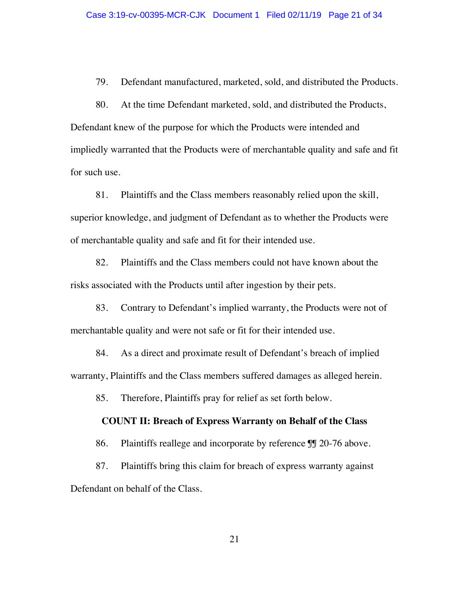79. Defendant manufactured, marketed, sold, and distributed the Products.

80. At the time Defendant marketed, sold, and distributed the Products, Defendant knew of the purpose for which the Products were intended and impliedly warranted that the Products were of merchantable quality and safe and fit for such use.

81. Plaintiffs and the Class members reasonably relied upon the skill, superior knowledge, and judgment of Defendant as to whether the Products were of merchantable quality and safe and fit for their intended use.

82. Plaintiffs and the Class members could not have known about the risks associated with the Products until after ingestion by their pets.

83. Contrary to Defendant's implied warranty, the Products were not of merchantable quality and were not safe or fit for their intended use.

84. As a direct and proximate result of Defendant's breach of implied warranty, Plaintiffs and the Class members suffered damages as alleged herein.

85. Therefore, Plaintiffs pray for relief as set forth below.

#### **COUNT II: Breach of Express Warranty on Behalf of the Class**

86. Plaintiffs reallege and incorporate by reference  $\mathbb{II}$  20-76 above.

87. Plaintiffs bring this claim for breach of express warranty against Defendant on behalf of the Class.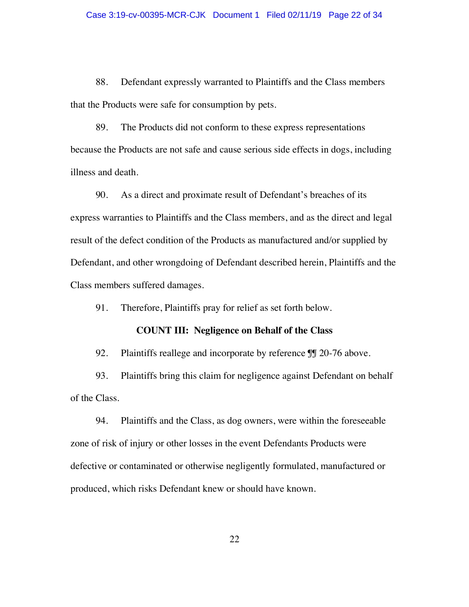88. Defendant expressly warranted to Plaintiffs and the Class members that the Products were safe for consumption by pets.

89. The Products did not conform to these express representations because the Products are not safe and cause serious side effects in dogs, including illness and death.

90. As a direct and proximate result of Defendant's breaches of its express warranties to Plaintiffs and the Class members, and as the direct and legal result of the defect condition of the Products as manufactured and/or supplied by Defendant, and other wrongdoing of Defendant described herein, Plaintiffs and the Class members suffered damages.

91. Therefore, Plaintiffs pray for relief as set forth below.

# **COUNT III: Negligence on Behalf of the Class**

92. Plaintiffs reallege and incorporate by reference JJ 20-76 above.

93. Plaintiffs bring this claim for negligence against Defendant on behalf of the Class.

94. Plaintiffs and the Class, as dog owners, were within the foreseeable zone of risk of injury or other losses in the event Defendants Products were defective or contaminated or otherwise negligently formulated, manufactured or produced, which risks Defendant knew or should have known.

22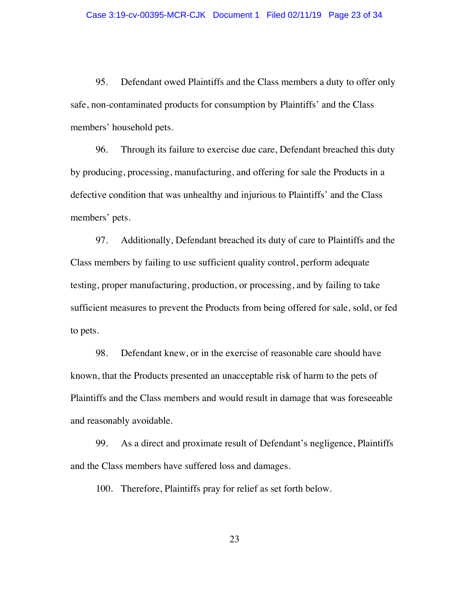95. Defendant owed Plaintiffs and the Class members a duty to offer only safe, non-contaminated products for consumption by Plaintiffs' and the Class members' household pets.

96. Through its failure to exercise due care, Defendant breached this duty by producing, processing, manufacturing, and offering for sale the Products in a defective condition that was unhealthy and injurious to Plaintiffs' and the Class members' pets.

97. Additionally, Defendant breached its duty of care to Plaintiffs and the Class members by failing to use sufficient quality control, perform adequate testing, proper manufacturing, production, or processing, and by failing to take sufficient measures to prevent the Products from being offered for sale, sold, or fed to pets.

98. Defendant knew, or in the exercise of reasonable care should have known, that the Products presented an unacceptable risk of harm to the pets of Plaintiffs and the Class members and would result in damage that was foreseeable and reasonably avoidable.

99. As a direct and proximate result of Defendant's negligence, Plaintiffs and the Class members have suffered loss and damages.

100. Therefore, Plaintiffs pray for relief as set forth below.

23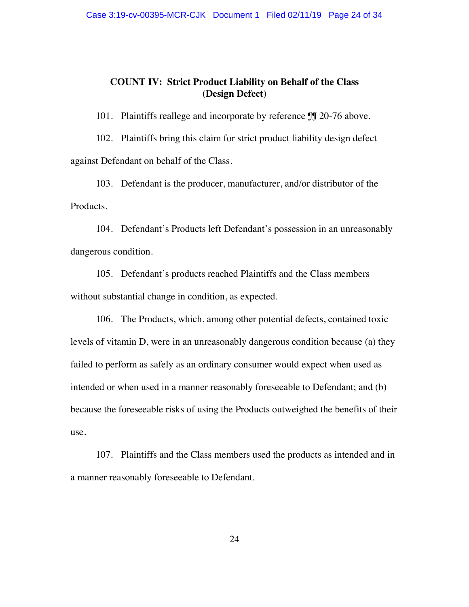### **COUNT IV: Strict Product Liability on Behalf of the Class (Design Defect)**

101. Plaintiffs reallege and incorporate by reference  $\mathbb{J}$  20-76 above.

102. Plaintiffs bring this claim for strict product liability design defect against Defendant on behalf of the Class.

103. Defendant is the producer, manufacturer, and/or distributor of the Products.

104. Defendant's Products left Defendant's possession in an unreasonably dangerous condition.

105. Defendant's products reached Plaintiffs and the Class members without substantial change in condition, as expected.

106. The Products, which, among other potential defects, contained toxic levels of vitamin D, were in an unreasonably dangerous condition because (a) they failed to perform as safely as an ordinary consumer would expect when used as intended or when used in a manner reasonably foreseeable to Defendant; and (b) because the foreseeable risks of using the Products outweighed the benefits of their use.

107. Plaintiffs and the Class members used the products as intended and in a manner reasonably foreseeable to Defendant.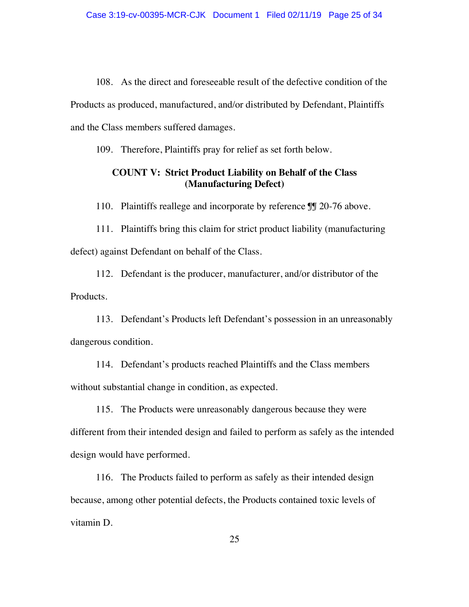108. As the direct and foreseeable result of the defective condition of the Products as produced, manufactured, and/or distributed by Defendant, Plaintiffs and the Class members suffered damages.

109. Therefore, Plaintiffs pray for relief as set forth below.

# **COUNT V: Strict Product Liability on Behalf of the Class (Manufacturing Defect)**

110. Plaintiffs reallege and incorporate by reference  $\mathbb{II}$  20-76 above.

111. Plaintiffs bring this claim for strict product liability (manufacturing defect) against Defendant on behalf of the Class.

112. Defendant is the producer, manufacturer, and/or distributor of the Products.

113. Defendant's Products left Defendant's possession in an unreasonably dangerous condition.

114. Defendant's products reached Plaintiffs and the Class members without substantial change in condition, as expected.

115. The Products were unreasonably dangerous because they were different from their intended design and failed to perform as safely as the intended design would have performed.

116. The Products failed to perform as safely as their intended design because, among other potential defects, the Products contained toxic levels of vitamin D.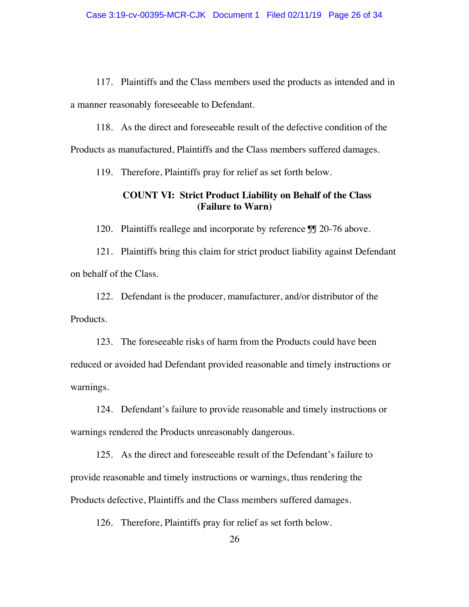117. Plaintiffs and the Class members used the products as intended and in a manner reasonably foreseeable to Defendant.

118. As the direct and foreseeable result of the defective condition of the Products as manufactured, Plaintiffs and the Class members suffered damages.

119. Therefore, Plaintiffs pray for relief as set forth below.

# **COUNT VI: Strict Product Liability on Behalf of the Class (Failure to Warn)**

120. Plaintiffs reallege and incorporate by reference  $\mathbb{II}$  20-76 above.

121. Plaintiffs bring this claim for strict product liability against Defendant on behalf of the Class.

122. Defendant is the producer, manufacturer, and/or distributor of the Products.

123. The foreseeable risks of harm from the Products could have been reduced or avoided had Defendant provided reasonable and timely instructions or warnings.

124. Defendant's failure to provide reasonable and timely instructions or warnings rendered the Products unreasonably dangerous.

125. As the direct and foreseeable result of the Defendant's failure to provide reasonable and timely instructions or warnings, thus rendering the Products defective, Plaintiffs and the Class members suffered damages.

126. Therefore, Plaintiffs pray for relief as set forth below.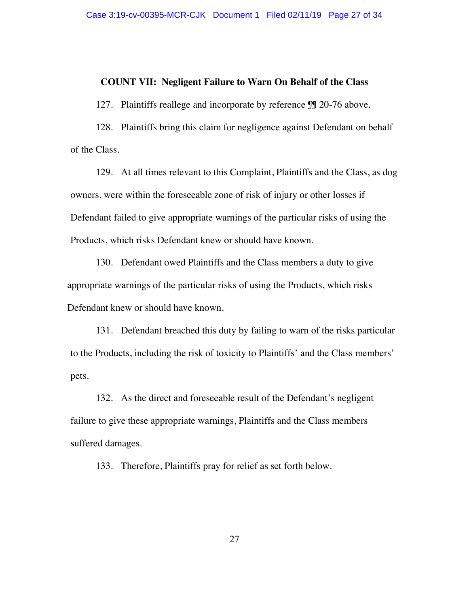#### **COUNT VII: Negligent Failure to Warn On Behalf of the Class**

127. Plaintiffs reallege and incorporate by reference  $\mathbb{II}$  20-76 above.

128. Plaintiffs bring this claim for negligence against Defendant on behalf of the Class.

129. At all times relevant to this Complaint, Plaintiffs and the Class, as dog owners, were within the foreseeable zone of risk of injury or other losses if Defendant failed to give appropriate warnings of the particular risks of using the Products, which risks Defendant knew or should have known.

130. Defendant owed Plaintiffs and the Class members a duty to give appropriate warnings of the particular risks of using the Products, which risks Defendant knew or should have known.

131. Defendant breached this duty by failing to warn of the risks particular to the Products, including the risk of toxicity to Plaintiffs' and the Class members' pets.

132. As the direct and foreseeable result of the Defendant's negligent failure to give these appropriate warnings, Plaintiffs and the Class members suffered damages.

133. Therefore, Plaintiffs pray for relief as set forth below.

27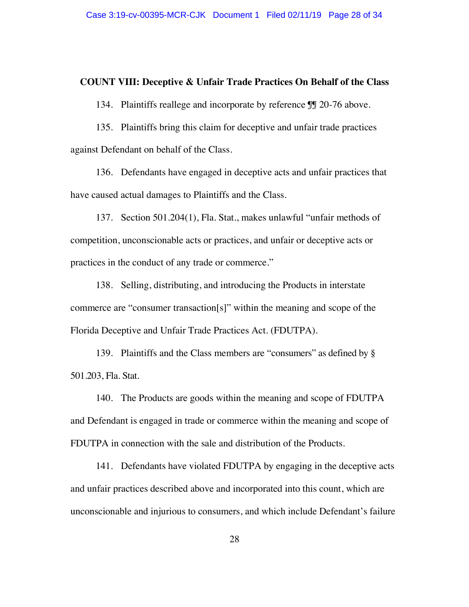#### **COUNT VIII: Deceptive & Unfair Trade Practices On Behalf of the Class**

134. Plaintiffs reallege and incorporate by reference  $\mathbb{II}$  20-76 above.

135. Plaintiffs bring this claim for deceptive and unfair trade practices against Defendant on behalf of the Class.

136. Defendants have engaged in deceptive acts and unfair practices that have caused actual damages to Plaintiffs and the Class.

137. Section 501.204(1), Fla. Stat., makes unlawful "unfair methods of competition, unconscionable acts or practices, and unfair or deceptive acts or practices in the conduct of any trade or commerce."

138. Selling, distributing, and introducing the Products in interstate commerce are "consumer transaction[s]" within the meaning and scope of the Florida Deceptive and Unfair Trade Practices Act. (FDUTPA).

139. Plaintiffs and the Class members are "consumers" as defined by § 501.203, Fla. Stat.

140. The Products are goods within the meaning and scope of FDUTPA and Defendant is engaged in trade or commerce within the meaning and scope of FDUTPA in connection with the sale and distribution of the Products.

141. Defendants have violated FDUTPA by engaging in the deceptive acts and unfair practices described above and incorporated into this count, which are unconscionable and injurious to consumers, and which include Defendant's failure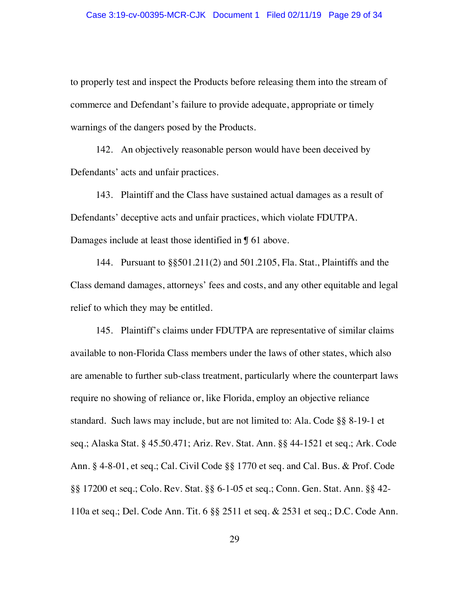to properly test and inspect the Products before releasing them into the stream of commerce and Defendant's failure to provide adequate, appropriate or timely warnings of the dangers posed by the Products.

142. An objectively reasonable person would have been deceived by Defendants' acts and unfair practices.

143. Plaintiff and the Class have sustained actual damages as a result of Defendants' deceptive acts and unfair practices, which violate FDUTPA. Damages include at least those identified in ¶ 61 above.

144. Pursuant to §§501.211(2) and 501.2105, Fla. Stat., Plaintiffs and the Class demand damages, attorneys' fees and costs, and any other equitable and legal relief to which they may be entitled.

145. Plaintiff's claims under FDUTPA are representative of similar claims available to non-Florida Class members under the laws of other states, which also are amenable to further sub-class treatment, particularly where the counterpart laws require no showing of reliance or, like Florida, employ an objective reliance standard. Such laws may include, but are not limited to: Ala. Code §§ 8-19-1 et seq.; Alaska Stat. § 45.50.471; Ariz. Rev. Stat. Ann. §§ 44-1521 et seq.; Ark. Code Ann. § 4-8-01, et seq.; Cal. Civil Code §§ 1770 et seq. and Cal. Bus. & Prof. Code §§ 17200 et seq.; Colo. Rev. Stat. §§ 6-1-05 et seq.; Conn. Gen. Stat. Ann. §§ 42- 110a et seq.; Del. Code Ann. Tit. 6 §§ 2511 et seq. & 2531 et seq.; D.C. Code Ann.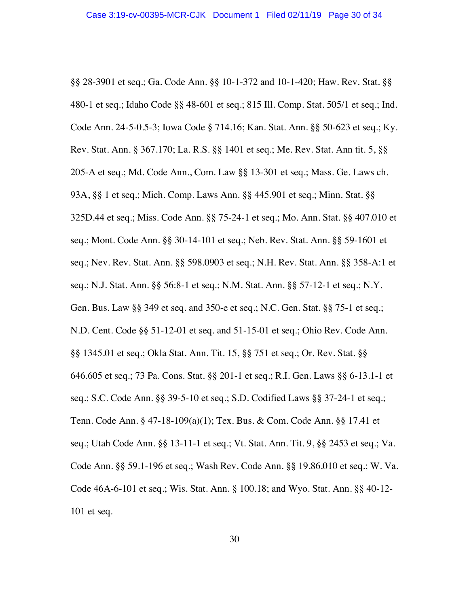§§ 28-3901 et seq.; Ga. Code Ann. §§ 10-1-372 and 10-1-420; Haw. Rev. Stat. §§ 480-1 et seq.; Idaho Code §§ 48-601 et seq.; 815 Ill. Comp. Stat. 505/1 et seq.; Ind. Code Ann. 24-5-0.5-3; Iowa Code § 714.16; Kan. Stat. Ann. §§ 50-623 et seq.; Ky. Rev. Stat. Ann. § 367.170; La. R.S. §§ 1401 et seq.; Me. Rev. Stat. Ann tit. 5, §§ 205-A et seq.; Md. Code Ann., Com. Law §§ 13-301 et seq.; Mass. Ge. Laws ch. 93A, §§ 1 et seq.; Mich. Comp. Laws Ann. §§ 445.901 et seq.; Minn. Stat. §§ 325D.44 et seq.; Miss. Code Ann. §§ 75-24-1 et seq.; Mo. Ann. Stat. §§ 407.010 et seq.; Mont. Code Ann. §§ 30-14-101 et seq.; Neb. Rev. Stat. Ann. §§ 59-1601 et seq.; Nev. Rev. Stat. Ann. §§ 598.0903 et seq.; N.H. Rev. Stat. Ann. §§ 358-A:1 et seq.; N.J. Stat. Ann. §§ 56:8-1 et seq.; N.M. Stat. Ann. §§ 57-12-1 et seq.; N.Y. Gen. Bus. Law §§ 349 et seq. and 350-e et seq.; N.C. Gen. Stat. §§ 75-1 et seq.; N.D. Cent. Code §§ 51-12-01 et seq. and 51-15-01 et seq.; Ohio Rev. Code Ann. §§ 1345.01 et seq.; Okla Stat. Ann. Tit. 15, §§ 751 et seq.; Or. Rev. Stat. §§ 646.605 et seq.; 73 Pa. Cons. Stat. §§ 201-1 et seq.; R.I. Gen. Laws §§ 6-13.1-1 et seq.; S.C. Code Ann. §§ 39-5-10 et seq.; S.D. Codified Laws §§ 37-24-1 et seq.; Tenn. Code Ann. § 47-18-109(a)(1); Tex. Bus. & Com. Code Ann. §§ 17.41 et seq.; Utah Code Ann. §§ 13-11-1 et seq.; Vt. Stat. Ann. Tit. 9, §§ 2453 et seq.; Va. Code Ann. §§ 59.1-196 et seq.; Wash Rev. Code Ann. §§ 19.86.010 et seq.; W. Va. Code 46A-6-101 et seq.; Wis. Stat. Ann. § 100.18; and Wyo. Stat. Ann. §§ 40-12- 101 et seq.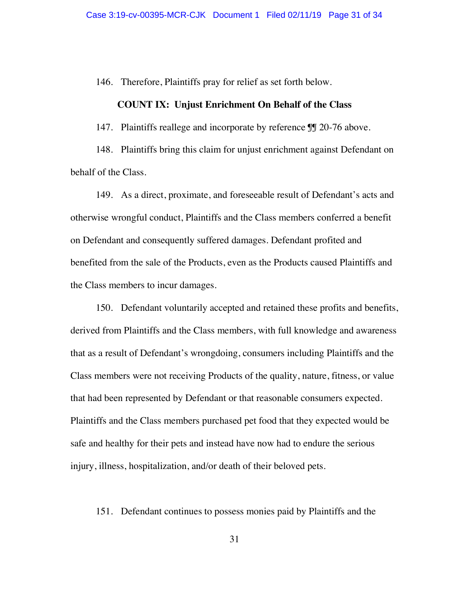146. Therefore, Plaintiffs pray for relief as set forth below.

### **COUNT IX: Unjust Enrichment On Behalf of the Class**

147. Plaintiffs reallege and incorporate by reference  $\mathbb{II}$  20-76 above.

148. Plaintiffs bring this claim for unjust enrichment against Defendant on behalf of the Class.

149. As a direct, proximate, and foreseeable result of Defendant's acts and otherwise wrongful conduct, Plaintiffs and the Class members conferred a benefit on Defendant and consequently suffered damages. Defendant profited and benefited from the sale of the Products, even as the Products caused Plaintiffs and the Class members to incur damages.

150. Defendant voluntarily accepted and retained these profits and benefits, derived from Plaintiffs and the Class members, with full knowledge and awareness that as a result of Defendant's wrongdoing, consumers including Plaintiffs and the Class members were not receiving Products of the quality, nature, fitness, or value that had been represented by Defendant or that reasonable consumers expected. Plaintiffs and the Class members purchased pet food that they expected would be safe and healthy for their pets and instead have now had to endure the serious injury, illness, hospitalization, and/or death of their beloved pets.

### 151. Defendant continues to possess monies paid by Plaintiffs and the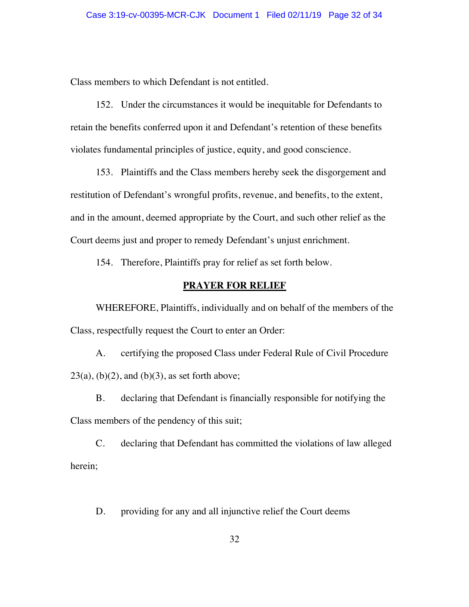Class members to which Defendant is not entitled.

152. Under the circumstances it would be inequitable for Defendants to retain the benefits conferred upon it and Defendant's retention of these benefits violates fundamental principles of justice, equity, and good conscience.

153. Plaintiffs and the Class members hereby seek the disgorgement and restitution of Defendant's wrongful profits, revenue, and benefits, to the extent, and in the amount, deemed appropriate by the Court, and such other relief as the Court deems just and proper to remedy Defendant's unjust enrichment.

154. Therefore, Plaintiffs pray for relief as set forth below.

### **PRAYER FOR RELIEF**

WHEREFORE, Plaintiffs, individually and on behalf of the members of the Class, respectfully request the Court to enter an Order:

A. certifying the proposed Class under Federal Rule of Civil Procedure  $23(a)$ ,  $(b)(2)$ , and  $(b)(3)$ , as set forth above;

B. declaring that Defendant is financially responsible for notifying the Class members of the pendency of this suit;

C. declaring that Defendant has committed the violations of law alleged herein;

D. providing for any and all injunctive relief the Court deems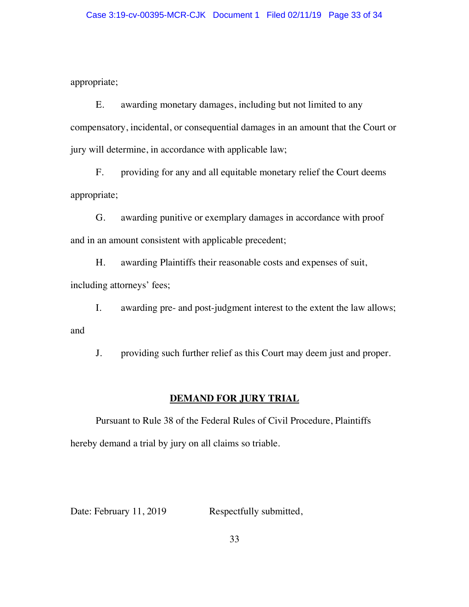appropriate;

E. awarding monetary damages, including but not limited to any compensatory, incidental, or consequential damages in an amount that the Court or jury will determine, in accordance with applicable law;

F. providing for any and all equitable monetary relief the Court deems appropriate;

G. awarding punitive or exemplary damages in accordance with proof and in an amount consistent with applicable precedent;

H. awarding Plaintiffs their reasonable costs and expenses of suit, including attorneys' fees;

I. awarding pre- and post-judgment interest to the extent the law allows; and

J. providing such further relief as this Court may deem just and proper.

# **DEMAND FOR JURY TRIAL**

Pursuant to Rule 38 of the Federal Rules of Civil Procedure, Plaintiffs hereby demand a trial by jury on all claims so triable.

Date: February 11, 2019 Respectfully submitted,